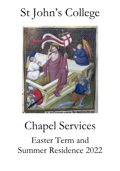# St John's College



# Chapel Services Easter Term and Summer Residence 2022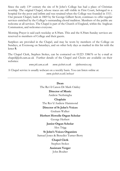Since the early  $13<sup>th</sup>$  century the site of St John's College has had a place of Christian worship. The original Chapel, whose traces are still visible in First Court, belonged to a hospital for the poor and infirm and was retained when the College was founded in 1511. Our present Chapel, built in 1869 by Sir George Gilbert Scott, continues to offer regular services enriched by the College's outstanding choral tradition. Members of the public are welcome at all services. The Chapel is part of the Church of England, within the Anglican Communion, and welcomes everyone.

Morning Prayer is said each weekday at 8.30am. This and the 8.30am Sunday services are reserved to members of College and their guests.

Surplices are provided in the Chapel, and may be worn by members of the College on Sundays, at Evensong on Saturdays, and on other holy days as marked in this list with the letter **S**.

The Chapel Clerk, Stephen Stokes, can be contacted on 01223 338676 or by e-mail at  $chapel@joh.cam.ac.uk$  Further details of the Chapel and Choirs are available on their websites:

*www.joh.cam.ac.uk www.sjcchoir.co.uk stjohnsvoices.org*

A Chapel service is usually webcast on a weekly basis. You can listen online at: *[www.sjcchoir.co.uk/webcast](http://www.sjcchoir.co.uk/webcast)*

## **Dean** The Rev'd Canon Dr Mark Oakley **Director of Music** Andrew Nethsingha **Chaplain** The Rev'd Andrew Hammond **Director of St John's Voices** Graham Walker **Herbert Howells Organ Scholar** George Herbert **Junior Organ Scholar** Alex Trigg **St John's Voices Organists** Samuel Jones & Benedict Turner-Berry **Chapel Clerk** Stephen Stokes **Assistant Verger** John Boulter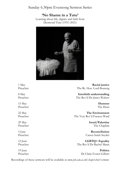# Sunday 6.30pm Evensong Sermon Series

# **'No Shame in a Tutu'**

Learning about life, dignity and faith from Desmond Tutu (1931–2021)



1 May **Racial justice** Preacher: The Rt. Hon. Lord Boateng

8 May **Interfaith understanding** Preacher: The Rev'd Dr James Walters

15 May **Humour** Preacher: The Dean

22 May **The Environment**<br>Preacher: The Very Rey'd Frances Ward The Very Rev'd Frances Ward

29 May **Israel/Palestine** Preacher: The Chaplain

5 June **Reconciliation** Preacher: Canon Sarah Snyder

12 June **LGBTQ+ Equality** Preacher: The Rev'd Dr Rachel Mann

19 June **Politics** Preacher: Dr Claire Foster-Gilbert

Recordings of these sermons will be available at *www.joh.cam.ac.uk/chapel-choir/sermons*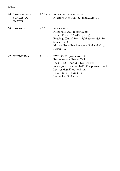| 24 | THE SECOND<br><b>SUNDAY OF</b><br><b>EASTER</b> | $8.30$ a.m. | STUDENT COMMUNION<br>Readings: Acts 5.27-32; John 20.19-31                                                                                                                                                                                       |
|----|-------------------------------------------------|-------------|--------------------------------------------------------------------------------------------------------------------------------------------------------------------------------------------------------------------------------------------------|
| 26 | <b>TUESDAY</b>                                  | $6.30$ p.m. | <b>EVENSONG</b><br>Responses and Preces: Clucas<br>Psalm: 119 vv. 129–136 (Elvey)<br>Readings: Daniel 10.4-12; Matthew 28.1-10<br>Sumsion in G<br>Michael Rose: Teach me, my God and King<br>Hymn: 102                                           |
| 27 | WEDNESDAY                                       | $6.30$ p.m. | <b>EVENSONG</b> (lower voices)<br>Responses and Preces: Tallis<br>Psalms: 124 (tone vii), 125 (tone vii)<br>Readings: Genesis 40.1–15; Philippians 1.1–11<br>Lassus: Magnificat tertii toni<br>Nunc Dimittis tertii toni<br>Locke: Let God arise |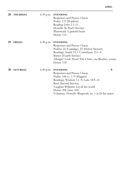| 28 | <b>THURSDAY</b> | $6.30$ p.m. | <b>EVENSONG</b><br>Responses and Preces: Clucas<br>Psalm: 133 (Hopkins)<br>Reading: John 2.1-11<br>Howells (St Paul's Service)<br>Plumstead: A grateful heart<br>Hymn: 115                                                                                               |   |
|----|-----------------|-------------|--------------------------------------------------------------------------------------------------------------------------------------------------------------------------------------------------------------------------------------------------------------------------|---|
| 29 | <b>FRIDAY</b>   | $6.30$ p.m. | <b>EVENSONG</b><br>Responses and Preces: Clucas<br>Psalms: 22 (Camidge), 23 (Hylton Stewart)<br>Readings: Isaiah 53; 1 Corinthians 15.1-4<br>Batten (Fourth Service)<br>Albright: Look There! The Christ, our Brother, comes<br>Hymn: 118                                |   |
| 30 | <b>SATURDAY</b> | $6.30$ p.m. | <b>EVENSONG</b><br>Responses and Preces: Clucas<br>Psalm: $144$ vv. $1-9$ (Higgins)<br>Readings: Wisdom 3.1–9; Luke 18.9–14<br>Byrd (Second Service)<br>Vaughan Williams: Let all the world<br>Hymn: 496 (tune 354)<br>Voluntary: Howells Rhapsody no. 1 in D flat major | S |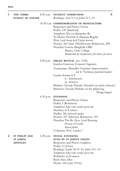| 1 | THE THIRD<br>SUNDAY OF EASTER                        | $8.30$ a.m. | S<br>STUDENT COMMUNION<br>Readings: Acts 9.1-6; John 21.1-19                                                                                                                                                                                                                                                                                                                           |
|---|------------------------------------------------------|-------------|----------------------------------------------------------------------------------------------------------------------------------------------------------------------------------------------------------------------------------------------------------------------------------------------------------------------------------------------------------------------------------------|
|   |                                                      |             | 10.30 a.m. COMMEMORATION OF BENEFACTORS<br>Responses and Preces: Clucas<br>Psalm: 149 (Stanford)<br>Antiphon: Hic est discipulus ille<br>Te Deum: Howells (Collegium Regale)<br>Weir: Leaf from leaf Christ knows<br>Hymns: 362 (tune 185)(Descant: Robinson), 208<br>Preacher: Loretta Minghella OBE<br>Master, Clare College<br>Benefaction for beneficiaries: for better, for worse |
|   |                                                      | $6.00$ p.m. | <b>ORGAN RECITAL</b> (no. 1526)<br>Katelyn Emerson (Concert Organist)                                                                                                                                                                                                                                                                                                                  |
|   |                                                      |             | Tournemire (Duruflé): Fantaisie-Improvisation<br>sur le Victimae paschali laudes'<br>Laurin: Sonata in F<br>ii. Intermezzo<br>iii. Scherzo<br>Brahms: Chorale Prelude 'Herzlich tut mich erfreuen'<br>Bairstow: Toccata-Prelude on the plainsong<br>Pange lingua'                                                                                                                      |
|   |                                                      | $6.30$ p.m. | <b>EVENSONG</b><br>Responses and Preces: Clucas<br>Psalm: 2 (Robinson)<br>Antiphon: Qui vult venire post me<br>Humfrey in E minor<br>Hadley: My beloved spake<br>Hymns: 107 (Descant: Robinson), 103<br>Preacher: The Rt. Hon. Lord Boateng<br>House of Lords<br>Racial justice<br>Voluntary: Pott Laudes *                                                                            |
| 2 | <b>ST PHILIP AND</b><br>ST JAMES,<br><b>APOSTLES</b> | $6.30$ p.m. | <b>FESTAL EVENSONG</b><br>SUNG BY ST JOHN'S VOICES<br>Responses and Preces: Leighton<br>Psalm: 12 (Goss)<br>Readings: Isaiah 30.15-21; John 14.1-14<br>Antiphon: Qui vult venire post me<br>Walmisley in D minor<br><b>Byrd: Haec Dies</b>                                                                                                                                             |

Hymn: 164 (tune 101(ii))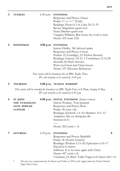**3 TUESDAY** 6.30 p.m. **EVENSONG**  Responses and Preces: Clucas Psalm: 17 vv. 1–7 (Turle) Readings: Hosea 6.1–6; Luke 24.13–35 Bevan: Magnificat quarti toni Nunc Dimittis quarti toni Vaughan Williams: Rise heart, thy Lord is risen Hymn: 455 (tune 232) **4 WEDNESDAY 4.00 p.m**. **EVENSONG** 

Introit: Hadley My beloved spake Responses and Preces: Clucas Psalms: 22 (Camidge), 23 (Hylton Stewart) Readings: Genesis 3.8-21; 1 Corinthians 15.12-28 Howells (St Paul's Service) Weir: Leaf from leaf Christ knows Hymn: 107 (Descant: Robinson)

*This service will be broadcast live on BBC Radio Three. We ask everyone to be seated by 3.45 p.m.*

#### **5 THURSDAY 5.00 p.m**. '**SUNDAY WORSHIP**'

*This service will be recorded for broadcast on BBC Radio Four at 8.10am, Sunday 8 May. We ask everyone to be seated by 4.45 p.m.*

| 6 | <b>ST JOHN</b>     |             | <b>6.00 p.m. FESTAL EVENSONG</b> (lower voices)          | S |
|---|--------------------|-------------|----------------------------------------------------------|---|
|   | THE EVANGELIST     |             | Introit: Poulenc Tout puissant                           |   |
|   | <b>ANTE PORTAM</b> |             | Responses and Preces: Rose                               |   |
|   | <b>LATINAM</b>     |             | Psalm: 30 (tone viii)                                    |   |
|   |                    |             | Readings: Jeremiah 1.4-10; Matthew 14.1-12               |   |
|   |                    |             | Antiphon: Hic est discipulus ille                        |   |
|   |                    |             | Sumsion in G                                             |   |
|   |                    |             |                                                          |   |
|   |                    |             | Hymn: $202$ (omit v. 4)                                  |   |
| 7 | <b>SATURDAY</b>    | $6.30$ p.m. | <b>EVENSONG</b>                                          | S |
|   |                    |             | Responses and Preces: Radcliffe                          |   |
|   |                    |             | Psalm: 36 (Norris, Garrett)                              |   |
|   |                    |             | Readings: Wisdom 5.15–20; Ephesians 6.10–17              |   |
|   |                    |             | Purcell in G minor                                       |   |
|   |                    |             | Gibbons: If ye be risen again with Christ                |   |
|   |                    |             | Hymn: 447 (omit v.4)                                     |   |
|   |                    |             | Voluntary: J.S. Bach 'Little' Fugue in G minor (BWV 578) |   |

\* *This piece was commissioned by the Master and Fellows in 2014, with support from the Herbert Howells Organ Music Fund.*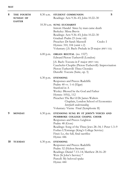| 8  | THE FOURTH<br><b>SUNDAY OF</b><br><b>EASTER</b> | 8.30 a.m.   | S<br>STUDENT COMMUNION<br>Readings: Acts 9.36-43; John 10.22-30                                                                                                                                                                                                                                                           |
|----|-------------------------------------------------|-------------|---------------------------------------------------------------------------------------------------------------------------------------------------------------------------------------------------------------------------------------------------------------------------------------------------------------------------|
|    |                                                 |             | 10.30 a.m. SUNG EUCHARIST<br>Introit: Handel Since by man came death<br>Berkeley: Missa Brevis<br>Readings: Acts 9.36–43; John 10.22–30<br>Gradual: Psalm 23 (tone viii)<br>Credo: I<br>Preacher: Dr Sarah Maxwell<br>Hymns: 310, 104 (omit v.2)<br>Voluntary: J.S. Bach: Prelude in D major (BWV 532i)                   |
|    |                                                 |             | 6.00 p.m. ORGAN RECITAL (no. 1527)<br>Edward Picton-Turbervill (London)<br>J.S. Bach: Toccata in F major (BWV 540i)<br>Cauchefer-Choplin (Picton-Turbervill): Improvisation<br>Picton-Turbervill: Three Chorales<br>Duruflé: Toccata (Suite, op. 5)                                                                       |
|    |                                                 | $6.30$ p.m. | <b>EVENSONG</b><br>Responses and Preces: Radcliffe<br>Psalm: $40$ vv. $1-6$ (Elgar)<br>Stanford in A<br>Wesley: Blessed be the God and Father<br>Hymns: 105(i), 112<br>Preacher: The Rev'd Dr James Walters<br>Chaplain, London School of Economics<br>Interfaith understanding<br>Voluntary: Vierne Final (Symphonie II) |
| 9  | <b>MONDAY</b>                                   | $6.30$ p.m. | EVENSONG SUNG BY ST JOHN'S VOICES AND<br>PEMBROKE COLLEGE CHAPEL CHOIR<br>Responses and Preces: Leighton<br>Psalm: 48 (Goss)<br>Readings: Song of the Three Jews 28-34; 1 Peter 1.3-9<br>Forbes L'Estrange (King's College Service)<br>Finzi: Lo, the full, final sacrifice<br>Hymn: 446                                  |
| 10 | <b>TUESDAY</b>                                  | 6.30 p.m.   | <b>EVENSONG</b><br>Responses and Preces: Radcliffe<br>Psalm: 52 (Hylton Stewart)<br>Readings: Daniel 7.13-14; Matthew 28.16-20<br>Weir (St John's Service) *<br>Purcell: My beloved spake<br>Hymn: 444                                                                                                                    |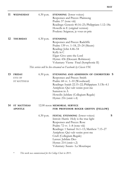| 11 | WEDNESDAY                              | $6.30$ p.m. | <b>EVENSONG</b> (lower voices)<br>Responses and Preces: Plainsong<br>Psalm: 57 (tone viii)<br>Readings: Genesis 40.16–23; Philippians 1.12–18a<br>Howells in E (original version)<br>Poulenc: Seigneur, je vous en prie                                                                                                                          |   |
|----|----------------------------------------|-------------|--------------------------------------------------------------------------------------------------------------------------------------------------------------------------------------------------------------------------------------------------------------------------------------------------------------------------------------------------|---|
| 12 | <b>THURSDAY</b>                        | $6.30$ p.m. | <b>EVENSONG</b><br>Responses and Preces: Radcliffe<br>Psalm: 139 vv. 1-18, 23-24 (Skeats)<br>Reading: John 4.46-54<br>Kelly in C<br>Elgar: Give unto the Lord<br>Hymn: 436 (Descant: Robinson)<br>Voluntary: Vierne Final (Symphonie II)                                                                                                         |   |
|    |                                        |             | This service will be live-streamed on Facebook by Classic FM.                                                                                                                                                                                                                                                                                    |   |
| 13 | <b>FRIDAY</b><br>EVE OF<br>ST MATTHIAS | $6.30$ p.m. | EVENSONG AND ADMISSION OF CHORISTERS S<br>Responses and Preces: Smith<br>Psalm: 68 vv. 1-10 (Woodward)<br>Readings: Isaiah 22.15–22; Philippians 3.13b–4.1<br>Antiphon: Qui vult venire post me<br>Sumsion in A<br>Howells: Jubilate (Collegium Regale)<br>Hymn: 216 (omit v.4)                                                                  |   |
| 14 | <b>ST MATTHIAS</b><br><b>APOSTLE</b>   |             | 12.00 noon MEMORIAL SERVICE<br>FOR PROFESSOR ROGER GRIFFIN (FELLOW)                                                                                                                                                                                                                                                                              |   |
|    |                                        | $6.30$ p.m. | <b>FESTAL EVENSONG</b> (lower voices)<br>Introit: Harris Holy is the true light<br>Responses and Preces: Rose<br>Psalm: 72 vv. 1–8 (tone viii)<br>Readings: 1 Samuel 16.1–13; Matthew 7.15–27<br>Antiphon: Qui vult venire post me<br>Cruft (Collegium Regale)<br>Lassus: Jubilate Deo<br>Hymn: 214 (omit v.2)<br>Voluntary: Susato La Mourisque | S |

\* *This work was commissioned for the College Choir in 2011.*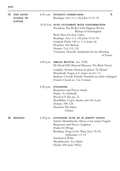| 15 | THE FIFTH<br><b>SUNDAY OF</b> | 8.30 a.m.   | S<br>STUDENT COMMUNION<br>Readings: Acts 11.1-18; John 13.31-35                                                                                                                                                                                                                                                                              |  |
|----|-------------------------------|-------------|----------------------------------------------------------------------------------------------------------------------------------------------------------------------------------------------------------------------------------------------------------------------------------------------------------------------------------------------|--|
|    | <b>EASTER</b>                 |             | 10.30 a.m. SUNG EUCHARIST WITH CONFIRMATION<br>President: The Rt Rev'd Dr Dagmar Winter<br>Bishop of Huntingdon<br>Byrd: Mass for four voices<br>Readings: Acts 11.1-18; John 13.31-35<br>Gradual: Psalm 148 vv. 1–6 (tone vii)<br>Preacher: The Bishop<br>Hymns: 114, 113, 110<br>Voluntary: Howells Sarabande for the Morning<br>of Easter |  |
|    |                               | $6.00$ p.m. | <b>ORGAN RECITAL</b> (no. 1528)<br>Dr David Hill (Musical Director, The Bach Choir)<br>Langlais: Hymne d'action de grâces 'Te Deum'                                                                                                                                                                                                          |  |
|    |                               |             | Buxtehude: Fugue in C major (BuxWV 174)<br>Brahms: Chorale Prelude 'Herzlich tut mich verlangen'<br>Franck: Choral no. 3 in A minor                                                                                                                                                                                                          |  |
|    |                               | $6.30$ p.m. | <b>EVENSONG</b><br>Responses and Preces: Smith<br>Psalm: 76 (Ashfield)<br>Wood in E flat (no. 2)<br>MacMillan: O give thanks unto the Lord<br>Hymns: 349, 124<br>Preacher: The Dean<br>Humour                                                                                                                                                |  |
| 16 | <b>MONDAY</b>                 | $6.30$ p.m. | EVENSONG SUNG BY ST JOHN'S VOICES<br>Introit: Mendelssohn Denn er hat seinen Engeln<br>Responses and Preces: Leighton<br>Psalm: 83 (Pring)<br>Readings: Song of the Three Jews 35-41;<br>Ephesians 1.3-14<br>Stanford in B flat<br>Mendelssohn: Ave Maria<br>Hymn: 438 (tune 296(i))                                                         |  |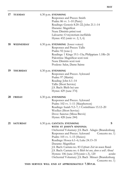| 17 | <b>TUESDAY</b>  | 6.30 p.m. EVENSONG<br>Responses and Preces: Smith<br>Psalm: 86 vv. 1–10 (Parry)<br>Readings: Genesis 8.20–22; John 21.1–14<br>Durante: Magnificat<br>Nunc Dimittis primi toni<br>Lalouette: O mysterium ineffabile<br>Hymn: 432 (omit vv. 2, 5, 6)                                                                                                                                                                                                                                                                       |
|----|-----------------|--------------------------------------------------------------------------------------------------------------------------------------------------------------------------------------------------------------------------------------------------------------------------------------------------------------------------------------------------------------------------------------------------------------------------------------------------------------------------------------------------------------------------|
| 18 | WEDNESDAY       | 6.30 p.m. EVENSONG (lower voices)<br>Responses and Preces: Tallis<br>Psalm: 92 (tone i)<br>Readings: 1 Kings 19.1-15a; Philippians 1.18b-26<br>Palestrina: Magnificat sexti toni<br>Nunc Dimittis sexti toni<br>Poulenc: Salut, Dame Sainte                                                                                                                                                                                                                                                                              |
| 19 | <b>THURSDAY</b> | $6.30$ p.m. EVENSONG<br>Responses and Preces: Ayleward<br>Psalm: 97 (Martin)<br>Reading: John 6.1-14<br>Tallis (Short Service)<br>J.S. Bach: Bleib bei uns<br>Hymn: 429 (tune 374)                                                                                                                                                                                                                                                                                                                                       |
| 20 | <b>FRIDAY</b>   | 6.30 p.m. EVENSONG<br>Responses and Preces: Ayleward<br>Psalm: 102 vv. 1–11 (Macpherson)<br>Readings: Isaiah 9.2-7; 1 Corinthians 15.12-20<br>Weelkes (Short Service)<br>Dove: Sanctus (Missa Brevis)<br>Hymn: 428 (tune 244)                                                                                                                                                                                                                                                                                            |
| 21 | <b>SATURDAY</b> | S<br>6.30 p.m. CANTATA EVENSONG<br>WITH ST JOHN'S SINFONIA<br>Orchestral Voluntary: J.S. Bach Adagio (Brandenburg<br>Responses and Preces: Ayleward<br>Concerto no. 1)<br>Psalm: 105 vv. 1–15 (Hawes)<br>Readings: Hosea 6.1-6; Luke 24.13-35<br>Durante: Magnificat<br>J.S. Bach: Cantata no. 83 Erfreute Zeit im neuen Bunde<br>J.S. Bach: Cantata no. 6 Bleib bei uns, denn es will Abend<br>Hymns: 106 (tune 219)(omit v.3), 120<br>werden<br>Orchestral Voluntary: J.S. Bach Minuet (Brandenburg<br>Concerto no. 1) |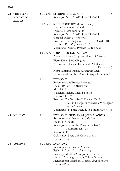| 22 | THE SIXTH<br><b>SUNDAY OF</b><br><b>EASTER</b> | 8.30 a.m.   | S<br>STUDENT COMMUNION<br>Readings: Acts 16.9-15; John 14.23-29                                                                                                                                                                                                                                                                |
|----|------------------------------------------------|-------------|--------------------------------------------------------------------------------------------------------------------------------------------------------------------------------------------------------------------------------------------------------------------------------------------------------------------------------|
|    |                                                |             | 10.30 a.m. SUNG EUCHARIST (lower voices)<br>Introit: Vocem jucunditatis<br>Duruflé: Messe cum jubilo<br>Readings: Acts 16.9-15; John 14.23-29<br>Gradual: Psalm 67 (tone vii)<br>Credo: III<br>Preacher: The Chaplain<br>Hymns: 119, 495 (omit vv. 2, 4)<br>Voluntary: Duruflé Prélude (Suite op. 5)                           |
|    |                                                | $6.00$ p.m. | <b>ORGAN RECITAL</b> (no. 1529)<br>Anthony Gritten (Royal Academy of Music)                                                                                                                                                                                                                                                    |
|    |                                                |             | Pierre Kunc: Sortie Fuguée<br>Kreisler (arr. James): Liebeslied (Alt-Wiener<br>Tanzweisen)                                                                                                                                                                                                                                     |
|    |                                                |             | Roth: Fantaisie Fuguée sur Regina Caeli<br>Grunenwald: Jubilate Deo (Diptyque Liturgique)                                                                                                                                                                                                                                      |
|    |                                                | $6.30$ p.m. | <b>EVENSONG</b><br>Responses and Preces: Ayleward<br>Psalm: $107$ vv. $1-8$ (Bairstow)<br>Murrill in E<br>Wheeler: Alleluia, I heard a voice<br>Hymns: 117, 375<br>Preacher: The Very Rev'd Frances Ward<br>Priest in Charge, St Michael's, Wokington<br>The Environment<br>Voluntary: J.S. Bach Prelude in B minor (BWV 5441) |
| 23 | <b>MONDAY</b>                                  | $6.30$ p.m. | EVENSONG SUNG BY ST JOHN'S VOICES<br>Responses and Preces: Lucy Walker<br>Psalm: 115 (South)<br>Readings: Song of the Three Jews 42-51;<br>Colossians 1.11–20<br>Watson in E<br>Golovanov: Svete tihi (СвѢте тихій)<br>Hymn: 423(ii)                                                                                           |
| 24 | <b>TUESDAY</b>                                 | $6.30$ p.m. | <b>EVENSONG</b><br>Responses and Preces: Ayleward<br>Psalm: 119 vv. 17-24 (Bairstow)<br>Readings: Micah 5.2-5a; John 21.15-19<br>Forbes L'Estrange (King's College Service)<br>Mendelssohn: Erhaben, O Herr, über alles Lob<br>Hymn: 416(ii)                                                                                   |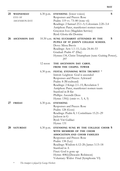| 25 | <b>WEDNESDAY</b><br>EVE OF<br><b>ASCENSION DAY</b> | $6.30$ p.m. | <b>EVENSONG</b> (lower voices)<br>Responses and Preces: Rose<br>Psalm: 119 vv. 73–80 (tone vii)<br>Readings: 2 Samuel 23.1–5; Colossians 2.20–3.4<br>Antiphon: Pater, manifestavi nomen tuum<br>Grayston Ives (Magdalen Service)<br>Byrd: Gloria tibi Domine                                                                  | S |
|----|----------------------------------------------------|-------------|-------------------------------------------------------------------------------------------------------------------------------------------------------------------------------------------------------------------------------------------------------------------------------------------------------------------------------|---|
| 26 | <b>ASCENSION DAY</b>                               |             | 10.30 a.m. SUNG EUCHARIST ATTENDED BY THE<br>PUPILS OF ST JOHN'S COLLEGE SCHOOL<br>Dove: Missa Brevis<br>Readings: Acts 1.1-11; Luke 24.44-53<br>Gradual: Psalm 47 (Day)<br>Hymns:134, Christ Triumphant (tune: Guiting Power),<br>297                                                                                        | S |
|    |                                                    | 12 noon     | THE ASCENSION DAY CAROL<br>FROM THE CHAPEL TOWER                                                                                                                                                                                                                                                                              |   |
|    |                                                    | $6.30$ p.m. | FESTAL EVENSONG WITH TRUMPET *<br>Introit: Leighton God is ascended<br>Responses and Preces: Ayleward<br>Psalm: 8 (Woodward)<br>Readings: 2 Kings 2.1–15; Revelation 5<br>Antiphon: Pater, manifestavi nomen tuum<br>Stanford in B flat<br>Phillips: Ascendit Deus<br>Hymn: 130(i) (omit vv. 3, 4, 5)                         |   |
| 27 | <b>FRIDAY</b>                                      | $6.30$ p.m. | <b>EVENSONG</b><br>Responses and Preces: Rose<br>Psalm: 128 (Goss)<br>Readings: Psalm 8; 1 Corinthians 15.21-29<br>Jackson in G<br>Byrd: Viri Galilaei<br>Hymn: 131                                                                                                                                                           |   |
| 28 | <b>SATURDAY</b>                                    | $6.30$ p.m. | EVENSONG SUNG BY THE COLLEGE CHOIR S<br>WITH MEMBERS OF THE CHOIR<br><b>ASSOCIATION AND CHOIR FAMILIES</b><br>Responses and Preces: Rose<br>Psalm: 138 (Ley)<br>Readings: Wisdom 6.12-20; James 3.13-18<br>Stanford in A<br>Finzi: God is gone up<br>Hymn: 408(i)(Descant: Robinson)<br>Voluntary: Widor Final (Symphonie VI) |   |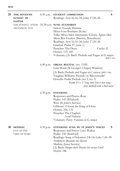| 29 | THE SEVENTH<br><b>SUNDAY OF</b><br><b>EASTER</b> | $8.30$ a.m. | S<br>STUDENT COMMUNION<br>Readings: Acts 16.16-34; John 17.20-26                                                                                                                                                                                                                                                                                                                        |
|----|--------------------------------------------------|-------------|-----------------------------------------------------------------------------------------------------------------------------------------------------------------------------------------------------------------------------------------------------------------------------------------------------------------------------------------------------------------------------------------|
|    | THE SUNDAY AFTER<br><b>ASCENSION DAY</b>         |             | $10.30$ a.m. SUNG EUCHARIST<br>Introit: Exaudi, Domine<br>Missa Fons Bonitatis (Kyrie)<br>Tallis: Missa Salve Intemerata (Gloria, Agnus Dei)<br>Missa Rex Genitor (Sanctus, Benedictus)<br>Readings: Acts 16.16-34; John 17.20-26<br>Gradual: Psalm 97 (tone v)<br>Preacher: The Dean<br>Credo: II<br>Hymns: 135, 443<br>Voluntary: J.S. Bach Prelude and Fugue in G major<br>(BWV 541) |
|    |                                                  | $6.00$ p.m. | <b>ORGAN RECITAL</b> (no. 1530)<br>Luke Bond (St George's Chapel, Windsor)<br>J.S. Bach: Prelude and Fugue in C minor (BWV 546)<br>Vaughan Williams: Prelude on 'Rhosymedre'<br>Howells: Psalm Prelude (set 2, no. 3)<br>Psalm 33 v. 3 'Sing unto him a new song:<br>play skilfully with a loud noise.'                                                                                 |
|    |                                                  | $6.30$ p.m. | <b>EVENSONG</b><br>Responses and Preces: Rose<br>Psalm: 143 (Whitlock)<br>Weir (St John's Service)<br>Gibbons: O God, the King of Glory<br>Hymns: 256, 132<br>Preacher: The Chaplain<br><i>Israel/Palestine</i><br>Voluntary: Parry Fantasia in G major                                                                                                                                 |
| 30 | <b>MONDAY</b><br>EVE OF THE<br>VISIT OF MARY     | $6.30$ p.m. | S<br>EVENSONG SUNG BY ST JOHN'S VOICES<br>Responses and Preces: Lucy Walker<br>Psalm: 150 (Stanford)<br>Readings: Song of Solomon 2.8–14; Luke 1.26–38<br>Antiphon: Beatam me dicent<br>Mathias (Jesus Service)<br>J.S. Bach: Singet dem Herrn ein neues Lied<br>Hymn: 186                                                                                                              |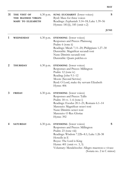| 31 | THE VISIT OF<br>THE BLESSED VIRGIN<br>MARY TO ELIZABETH | $6.30$ p.m. | SUNG EUCHARIST (lower voices)<br>Byrd: Mass for three voices<br>Readings: Zephaniah 3.14–18; Luke 1.39–56<br>Hymns: 181(ii), 185 (omit v.2)                                                                                                                                                       | S           |
|----|---------------------------------------------------------|-------------|---------------------------------------------------------------------------------------------------------------------------------------------------------------------------------------------------------------------------------------------------------------------------------------------------|-------------|
|    |                                                         |             |                                                                                                                                                                                                                                                                                                   | <b>JUNE</b> |
| 1  | WEDNESDAY                                               | $6.30$ p.m. | <b>EVENSONG</b> (lower voices)<br>Responses and Preces: Plainsong<br>Psalm: 6 (tone ii)<br>Readings: Micah 7.11-20; Philippians 1.27-30<br>Dunstable: Magnificat secundi toni<br>Nunc Dimittis secundi toni<br>Dunstable: Quam pulchra es                                                         |             |
| 2  | <b>THURSDAY</b>                                         | 6.30 p.m.   | <b>EVENSONG</b> (lower voices)<br>Responses and Preces: Millington<br>Psalm: 12 (tone iv)<br>Reading: John 9.1-12<br>Moore (Second Service)<br>Byrd: O Lord, make thy servant Elizabeth<br>Hymn: 406                                                                                              |             |
| 3  | <b>FRIDAY</b>                                           | $6.30$ p.m. | <b>EVENSONG</b> (lower voices)<br>Responses and Preces: Tallis<br>Psalm: 18 vv. 1–6 (tone i)<br>Readings: Exodus 20.1-21; Romans 6.1-14<br>Marenzio: Magnificat octavi toni<br>Nunc Dimittis octavi toni<br>Marenzio: O Rex Gloriae<br>Hymn: 392                                                  |             |
| 4  | <b>SATURDAY</b>                                         | $6.30$ p.m. | <b>EVENSONG</b> (lower voices)<br>Responses and Preces: Millington<br>Psalm: 23 (tone viii)<br>Readings: Wisdom 7.22b-8.1; Luke 1.26-38<br>Howells in E<br>Boyce: The Lord is King<br>Hymn: 401 (omit vv. 3, 5)<br>Voluntary: Mendelssohn: Allegro maestoso e vivace<br>(Sonata no. 2 in C minor) | S           |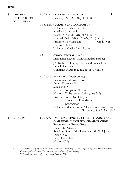| 5 | THE DAY<br>OF PENTECOST<br>WHIT SUNDAY | $8.30$ a.m. | S<br>STUDENT COMMUNION<br>Readings: Acts 2.1-21; John 14.8-17                          |
|---|----------------------------------------|-------------|----------------------------------------------------------------------------------------|
|   |                                        |             | 10.30 a.m. SOLEMN SUNG EUCHARIST $*$<br>Voluntary: Kodály Introitus                    |
|   |                                        |             | Kodály: Missa Brevis<br>Readings: Acts 2.1-21; John 14.8-17                            |
|   |                                        |             | Gradual: Psalm 104 vv. 26–34, 35b (tone iii)                                           |
|   |                                        |             | Preacher: The Chaplain<br>Credo: VII<br>Hymns: 138, 140                                |
|   |                                        |             | Voluntary: Kodály Ite, missa est                                                       |
|   |                                        | $6.00$ p.m. | <b>ORGAN RECITAL</b> (no. 1531)                                                        |
|   |                                        |             | Lidia Ksiazkiewicz (Laon Cathedral, France)                                            |
|   |                                        |             | J.S. Bach (arr. Dupré): Sinfonia (Cantata 146)<br>Franck: Pastorale                    |
|   |                                        |             | Guilmant: March in D major (op. 39, no. 3)                                             |
|   |                                        |             | 6.30 p.m. EVENSONG (lower voices)                                                      |
|   |                                        |             | Responses and Preces: Rose                                                             |
|   |                                        |             | Psalm: 29 (tone viii)                                                                  |
|   |                                        |             | Sumsion in G                                                                           |
|   |                                        |             | Randall Thompson: Alleluia                                                             |
|   |                                        |             | Hymns: 137, Be present Spirit (tune 353)<br>Preacher: Canon Sarah Snyder               |
|   |                                        |             | Rose Castle Foundation                                                                 |
|   |                                        |             | Reconciliation                                                                         |
|   |                                        |             | Voluntary: Mendelssohn Allegro maestoso e vivace<br>(Sonata no. 4 in B flat major)     |
| 6 | <b>MONDAY</b>                          |             | 6.30 p.m. EVENSONG SUNG BY ST JOHN'S VOICES AND<br>CAMPRIDGE IDUCEDCH'S CITAMPER CHOIR |

**CAMBRIDGE UNIVERSITY CHAMBER CHOIR** Responses and Preces: Rose Psalm: 98 (Attwood) Readings: Song of the Three Jews 52–59; 1 John 1 Dyson in D Parry: I was glad Hymn: 367(i)

\* *This service is sung by the altos, tenors and basses of the College Choir along with sopranos drawn from other Cambridge chapel choirs. The choristers are on their half-term holiday.*

\*\* *This work was composed for the College Choir in 2020.*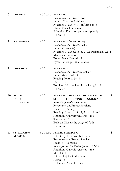| 7  | <b>TUESDAY</b>                         | $6.30$ p.m. | <b>EVENSONG</b><br>Responses and Preces: Rose<br>Psalm: 37 vv. 1–11 (West)<br>Readings: Isaiah 46.8-13; Acts 4.23-31<br>Daniel Purcell in E minor<br>Palestrina: Dum complerentur (part 1)<br>Hymn: 419                                                                                                          |
|----|----------------------------------------|-------------|------------------------------------------------------------------------------------------------------------------------------------------------------------------------------------------------------------------------------------------------------------------------------------------------------------------|
| 8  | WEDNESDAY                              | $6.30$ p.m. | <b>EVENSONG</b> (lower voices)<br>Responses and Preces: Tallis<br>Psalm: 41 (tone iv)<br>Readings: Isaiah 52.13–53.3, 12; Philippians 2.1–11<br>Magnificat primi toni<br>Toner: Nunc Dimittis **<br>Byrd: Christe qui lux es et dies                                                                             |
| 9  | <b>THURSDAY</b>                        | $6.30$ p.m. | <b>EVENSONG</b><br>Responses and Preces: Shephard<br>Psalm: 48 vv. 1–8 (Goss)<br>Reading: John 11.30-44<br>Dyson in F<br>Tomkins: My shepherd is the living Lord<br>Hymn: 389                                                                                                                                    |
| 10 | <b>FRIDAY</b><br>EVE OF<br>ST BARNABAS | $6.30$ p.m. | S<br>EVENSONG SUNG BY THE CHOIRS OF<br>ST JOHN THE DIVINE, KENNINGTON<br>AND ST JOHN'S COLLEGE<br>Responses and Preces: Shephard<br>Psalm: 54 (Barnby)<br>Readings: Isaiah 42.5-12; Acts 14.8-end<br>Antiphon: Qui vult venire post me<br>Stanford in B flat<br>Bullock: Give us the wings of faith<br>Hymn: 394 |
| 11 | <b>ST BARNABAS</b><br><b>APOSTLE</b>   | $6.30$ p.m. | S<br><b>FESTAL EVENSONG</b><br>Introit: Byrd Gloria tibi Domine<br>Responses and Preces: Shephard<br>Psalm: 61 (Tomkins)<br>Readings: Job 29.11-16; John 15.12-17<br>Antiphon: Qui vult venire post me<br>Murrill in E<br>Britten: Rejoice in the Lamb<br>Hymn: 167<br>Voluntary: Alain Litanies                 |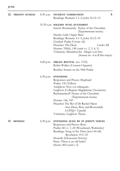| 12 | TRINITY SUNDAY | $8.30$ a.m. | S<br>STUDENT COMMUNION                                           |
|----|----------------|-------------|------------------------------------------------------------------|
|    |                |             | Readings: Romans 5.1-5; John 16.12-15                            |
|    |                |             | 10.30 a.m. SOLEMN SUNG EUCHARIST                                 |
|    |                |             | Introit: Bortniansky Hymn of the Cherubim<br>(Херувимская песнь) |
|    |                |             | Haydn: Little Organ Mass                                         |
|    |                |             | Readings: Romans 5.1-5; John 16.12-15                            |
|    |                |             | Gradual: Psalm 8 (tone viii)                                     |
|    |                |             | Preacher: The Dean<br>Credo: III                                 |
|    |                |             | Hymns: 358(ii), 148 (omit vv. 2, 3, 4, 5)                        |
|    |                |             | Voluntary: Mendelssohn Allegro con brio                          |
|    |                |             | (Sonata no. 4 in B flat major)                                   |
|    |                | $6.00$ p.m. | <b>ORGAN RECITAL</b> (no. 1532)                                  |
|    |                |             | Robin Walker (Concert Organist)                                  |
|    |                |             | Reubke: Sonata on the 94th Psalm                                 |
|    |                | $6.30$ p.m. | <b>EVENSONG</b>                                                  |
|    |                |             | Responses and Preces: Shephard                                   |
|    |                |             | Psalm: 150 (Talbot)                                              |
|    |                |             | Antiphon: Non vos relinquam                                      |
|    |                |             | Leighton (Collegium Magdalenae Oxoniense)                        |
|    |                |             | Rachmaninoff: Hymn of the Cherubim                               |
|    |                |             | (Херувимская песнь)                                              |
|    |                |             | Hymns: 146, 343<br>Preacher: The Rev'd Dr Rachel Mann            |
|    |                |             | Area Dean, Bury and Rossendale                                   |
|    |                |             | LGBTQ+ Equality                                                  |
|    |                |             | Voluntary: Leighton Paean                                        |
| 13 | <b>MONDAY</b>  | $6.30$ p.m. | EVENSONG SUNG BY ST JOHN'S VOICES                                |
|    |                |             | Responses and Preces: Rose                                       |
|    |                |             | Psalm: 68 vv. 1-20 (Woodward, Walmisley)                         |
|    |                |             | Readings: Song of the Three Jews 60–68;                          |
|    |                |             | Revelation 19.5-10                                               |
|    |                |             | Howells (Gloucester Service)                                     |

Parry: There is an old belief Hymn: 404 (omit v.2)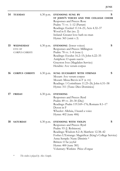| 14 | <b>TUESDAY</b>                        | 6.30 p.m.   | EVENSONG SUNG BY<br>ST JOHN'S VOICES AND THE COLLEGE CHOIR<br>Responses and Preces: Rose<br>Psalm: 71 vv. 1-12 (Parratt)<br>Readings: Ezekiel 11.14-21; Acts 4.32-37<br>Wood in E flat (no. 2)<br>Ireland: Greater love hath no man<br>Hymn: 365 (omit v.3)                                             | S |
|----|---------------------------------------|-------------|---------------------------------------------------------------------------------------------------------------------------------------------------------------------------------------------------------------------------------------------------------------------------------------------------------|---|
| 15 | WEDNESDAY<br>EVE OF<br>CORPUS CHRISTI | $6.30$ p.m. | <b>EVENSONG</b> (lower voices)<br>Responses and Preces: Millington<br>Psalm: 78 vv. 1–8 (tone i)<br>Readings: Exodus 16.2-15; John 6.22-35<br>Antiphon: O quam suavis<br>Grayston Ives (Magdalen Service)<br>Hendrie: Ave verum corpus                                                                  | S |
| 16 | <b>CORPUS CHRISTI</b>                 | $6.30$ p.m. | SUNG EUCHARIST WITH STRINGS<br>Mozart: Ave verum corpus<br>Mozart: Missa Brevis in F (K 192)<br>Readings: 1 Corinthians 11.23-26; John 6.51-58<br>Hymn: 311 (Tune: Dies Dominica)                                                                                                                       | S |
| 17 | <b>FRIDAY</b>                         | $6.30$ p.m. | <b>EVENSONG</b><br>Responses and Preces: Byrd<br>Psalm: 89 vv. 20–30 (Day)<br>Readings: Psalm 119.169–176; Romans 8.1–17<br>Dyson in F<br>Wheeler: Alleluia, I heard a voice<br>Hymn: 402 (tune 406)                                                                                                    |   |
| 18 | <b>SATURDAY</b>                       | $6.30$ p.m. | EVENSONG WITH VIOLIN<br>Responses and Preces: Byrd<br>Psalm: 93 (J. Robinson)<br>Readings: Wisdom 8.2-8; Matthew 12.38-42<br>Forbes L'Estrange: Magnificat (King's College Service)<br>Anna Semple: Nunc Dimittis *<br>Britten: O be joyful<br>Hymn: 400 (tune 381)<br>Voluntary: Watkins Piéce d'orgue | S |

\* *The violin is played by Alex Semple.*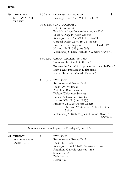| 19 | THE FIRST                             | $8.30$ a.m. | STUDENT COMMUNION                                                                              | S |  |  |
|----|---------------------------------------|-------------|------------------------------------------------------------------------------------------------|---|--|--|
|    | <b>SUNDAY AFTER</b><br><b>TRINITY</b> |             | Readings: Isaiah 65.1-9; Luke 8.26-39                                                          |   |  |  |
|    |                                       |             | 10.30 a.m. SUNG EUCHARIST                                                                      |   |  |  |
|    |                                       |             | Introit: Factus est                                                                            |   |  |  |
|    |                                       |             | Tye: Missa Euge Bone (Gloria, Agnus Dei)                                                       |   |  |  |
|    |                                       |             | Missa de Angelis (Kyrie, Sanctus)                                                              |   |  |  |
|    |                                       |             | Readings: Isaiah 65.1-9; Luke 8.26-39                                                          |   |  |  |
|    |                                       |             | Gradual: Psalm 22 vv. 19–28 (tone ii)                                                          |   |  |  |
|    |                                       |             | Credo: IV<br>Preacher: The Chaplain                                                            |   |  |  |
|    |                                       |             | Hymns: 276(ii), 398 (tune 395)                                                                 |   |  |  |
|    |                                       |             | Voluntary: J.S. Bach Prelude in C major (BWV 547i)                                             |   |  |  |
|    |                                       | $6.00$ p.m. | <b>ORGAN RECITAL</b> (no. 1533)<br>Colin Walsh (Lincoln Cathedral)                             |   |  |  |
|    |                                       |             | Tournemire (Duruflé): Improvisation sur le 'Te Deum'<br>Saint-Saëns: Fantaisie in D flat major |   |  |  |
|    |                                       |             | Vierne: Toccata (Pièces de Fantaisie)                                                          |   |  |  |
|    |                                       | $6.30$ p.m. | <b>EVENSONG</b>                                                                                |   |  |  |
|    |                                       |             | Responses and Preces: Byrd                                                                     |   |  |  |
|    |                                       |             | Psalm: 99 (Whitlock)                                                                           |   |  |  |
|    |                                       |             | Antiphon: Benedictus es                                                                        |   |  |  |
|    |                                       |             | Walton (Chichester Service)                                                                    |   |  |  |
|    |                                       |             | Betinis: Aeterna lux, divinitas                                                                |   |  |  |
|    |                                       |             | Hymns: 360, 390 (tune 388(i))                                                                  |   |  |  |
|    |                                       |             | Preacher: Dr Claire Foster-Gilbert                                                             |   |  |  |
|    |                                       |             | Director, Westminster Abbey Institute                                                          |   |  |  |
|    |                                       |             | Politics                                                                                       |   |  |  |
|    |                                       |             | Voluntary: J.S. Bach Fugue in D minor (Dorian)<br>(BWV 538ii)                                  |   |  |  |

Services resume at 6.30 p.m. on Tuesday 28 June 2022.

| 28 | <b>TUESDAY</b><br><b>EVE OF ST PETER</b><br>AND ST PAUL | $6.30$ p.m. EVENSONG<br>Responses and Preces: Byrd<br>Psalm: $138$ (Ley)<br>Readings: Ezekiel 3.4–11; Galatians 1.13–2.8<br>Antiphon: Qui vult venire post me | S |
|----|---------------------------------------------------------|---------------------------------------------------------------------------------------------------------------------------------------------------------------|---|
|    |                                                         | Sumsion in A<br>Weir: Vertue                                                                                                                                  |   |
|    |                                                         | Hymn: 420                                                                                                                                                     |   |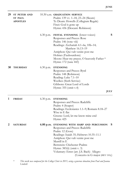| 29 | <b>ST PETER AND</b><br><b>ST PAUL</b><br><b>APOSTLES</b> |             | 10.30 a.m. <b>GRADUATION SERVICE</b><br>Psalm: 139 vv. 1-18, 23-24 (Skeats)<br>Te Deum: Howells (Collegium Regale)<br>Finzi: God is gone up<br>Hymn: 436 (Descant: Robinson)                                                                                                                                                                     |   |
|----|----------------------------------------------------------|-------------|--------------------------------------------------------------------------------------------------------------------------------------------------------------------------------------------------------------------------------------------------------------------------------------------------------------------------------------------------|---|
|    |                                                          | $6.30$ p.m. | FESTAL EVENSONG (lower voices)<br>Responses and Preces: Rose<br>Psalm: 146 (tone viii)<br>Readings: Zechariah 4.1-6a, 10b-14;<br>Matthew 16.13-19<br>Antiphon: Qui vult venire post me<br>Holmes (Faubourdons)<br>Moore: Hear my prayer, O heavenly Father *<br>Hymn: 172 (tune 443)                                                             | S |
| 30 | <b>THURSDAY</b>                                          | $6.30$ p.m. | <b>EVENSONG</b><br>Responses and Preces: Byrd<br>Psalm: 148 (Robinson)<br>Reading: Luke 7.1-10<br>Weelkes (Sixth Service)<br>Gibbons: Great Lord of Lords<br>Hymn: 355 (omit v.4)<br><b>JULY</b>                                                                                                                                                 |   |
| 1  | <b>FRIDAY</b>                                            | $6.30$ p.m. | <b>EVENSONG</b><br>Responses and Preces: Radcliffe<br>Psalm: 4 (Soaper)<br>Readings: Ecclesiastes 1.1-9; Romans 8.18-27<br>Wise in E flat<br>Greene: Lord, let me know mine end<br>Hymn: 425                                                                                                                                                     |   |
| 2  | <b>SATURDAY</b>                                          |             | 6.00 p.m. EVENSONG WITH HARP AND PERCUSSION<br>Responses and Preces: Radcliffe<br>Psalm: 12 (Goss)<br>Readings: Isaiah 35; Hebrews 10.35-11.1<br>Antiphon: Qui vult venire post me<br>Murrill in E<br>Bernstein: Chichester Psalms<br>Hymn: 383(ii) (omit v. 3)<br>Voluntary: Ernst (arr. J.S. Bach) Allegro<br>(Concerto in G major (BWV 595i)) | S |

\* *This work was composed for the College Choir in 2015, using a generous donation from Paul and Joanna Lindsell.*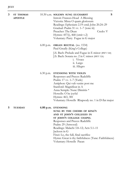| 3 | <b>ST THOMAS</b><br><b>APOSTLE</b> |             | S<br>10.30 a.m. SOLEMN SUNG EUCHARIST<br>Introit: Frances-Hoad A Blessing<br>Victoria: Missa O quam gloriosum<br>Readings: Ephesians 2.19-end; John 20.24-29<br>Gradual: Psalm 31 vv. 1–7 (tone iii)<br>Preacher: The Dean<br>Credo: V<br>Hymns: 457(i), 468 (omit v.2)<br>Voluntary: Parry Fugue in G major                   |  |
|---|------------------------------------|-------------|--------------------------------------------------------------------------------------------------------------------------------------------------------------------------------------------------------------------------------------------------------------------------------------------------------------------------------|--|
|   |                                    | $6.00$ p.m. | <b>ORGAN RECITAL</b> (no. 1534)<br>Paul Greally (King's College)<br>J.S. Bach: Prelude and Fugue in E minor (BWV 548)<br>J.S. Bach: Sonata no. 2 in C minor (BWV 526)<br>i. Vivace<br>ii. Largo<br>iii. Allegro                                                                                                                |  |
|   |                                    | $6.30$ p.m. | EVENSONG WITH VIOLIN<br>Responses and Preces: Radcliffe<br>Psalm: 17 vv. 1-7 (Turle)<br>Antiphon: Qui vult venire post me<br>Stanford: Magnificat in A<br>Anna Semple: Nunc Dimittis *<br>Howells: O be joyful<br>Hymns: 463, 381<br>Voluntary: Howells Rhapsody no. 1 in D flat major                                         |  |
| 5 | <b>TUESDAY</b>                     |             | 6.00 p.m. EVENSONG<br>SUNG BY THE CHOIRS OF KING'S<br>AND ST JOHN'S COLLEGES IN<br>ST JOHN'S COLLEGE CHAPEL<br>Responses and Preces: Radcliffe<br>Psalm: 29 (Attwood)<br>Readings: Malachi 3.8-12; Acts 5.1-11<br>Jackson in G<br>Finzi: Lo, the full, final sacrifice<br>Hymn: Great is thy faithfulness (Tune: Faithfulness) |  |

Voluntary: Howells Paean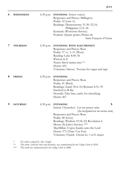| 6 | <b>WEDNESDAY</b> | $6.30$ p.m. | <b>EVENSONG</b> (lower voices)<br>Responses and Preces: Millington<br>Psalm: 32 (tone vi)<br>Readings: Deuteronomy 31.30-32.14;<br>Philippians 2.12-18<br>Kennedy (Worcester Service)<br>Poulenc: Quatre petites Prières de<br>Saint François d'Assise                                                                                          |
|---|------------------|-------------|-------------------------------------------------------------------------------------------------------------------------------------------------------------------------------------------------------------------------------------------------------------------------------------------------------------------------------------------------|
| 7 | <b>THURSDAY</b>  | $6.30$ p.m. | <b>EVENSONG WITH ELECTRONICS</b><br>Responses and Preces: Rose<br>Psalm: 37 vv. 1–11 (West)                                                                                                                                                                                                                                                     |
|   |                  |             | Reading: Luke 8.40-56<br>Watson in E<br>Nunn: Sitivit anima mea **<br>Hymn: 452<br>Voluntary: Harvey Toccata for organ and tape                                                                                                                                                                                                                 |
| 8 | <b>FRIDAY</b>    | $6.30$ p.m. | <b>EVENSONG</b><br>Responses and Preces: Rose<br>Psalm: 41 (Buck)<br>Readings: Isaiah 50.4–10; Romans 8.31–39<br>Stanford in B flat<br>Howells: Take him, earth, for cherishing<br>Hymn: 467                                                                                                                                                    |
| 9 | <b>SATURDAY</b>  | $6.30$ p.m. | S<br><b>EVENSONG</b><br>Introit: Chesnokov Let my prayer arise<br>(Да исправится молитва моя)<br>Responses and Preces: Rose<br>Psalm: 48 (Goss)<br>Readings: Wisdom 19.18-22; Revelation 4<br>Moore (St John's Service) ***<br>MacMillan: O give thanks unto the Lord<br>Hymn: 373 (Tune: Coe Fen)<br>Voluntary: Franck Choral no. 1 in E major |

\* *The violin is played by Alex Semple.*

\*\* *This work, scored for choir and electronics, was commissioned for the College Choir in 2018.*

\*\*\* *This work was commissioned for the College Choir in 2006.*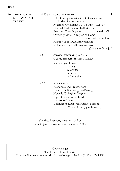| 10 | THE FOURTH<br><b>SUNDAY AFTER</b><br><b>TRINITY</b> |             | 10.30 a.m. SUNG EUCHARIST<br>Introit: Vaughan Williams O taste and see<br>Byrd: Mass for four voices<br>Readings: Colossians 1.1-14; Luke 10.25-37<br>Gradual: Psalm 25 vv. 1–10 (tone i)<br>Preacher: The Chaplain<br>Offertory Motet: Vaughan Williams<br>Hymn: 408(i) (Descant: Robinson)<br>Voluntary: Elgar Allegro maestoso | S<br>Credo: VI<br>Love bade me welcome<br>(Sonata in G major) |
|----|-----------------------------------------------------|-------------|-----------------------------------------------------------------------------------------------------------------------------------------------------------------------------------------------------------------------------------------------------------------------------------------------------------------------------------|---------------------------------------------------------------|
|    |                                                     | $6.00$ p.m. | <b>ORGAN RECITAL</b> (no. 1535)<br>George Herbert (St John's College)<br>Vierne: Symphonie II<br>i. Allegro<br>ii. Choral<br>iii. Scherzo<br>iv. Cantabile                                                                                                                                                                        |                                                               |
|    |                                                     | $6.30$ p.m. | <b>EVENSONG</b><br>Responses and Preces: Rose<br>Psalms: 53 (Stanford), 54 (Barnby)<br>Howells (Collegium Regale)<br>Elgar: Give unto the Lord<br>Hymns: 427, 252<br>Voluntaries: Elgar (arr. Harris) Nimrod<br>Vierne Final (Symphonie II)                                                                                       |                                                               |

The first Evensong next term will be at 6.30 p.m. on Wednesday 5 October 2022.

Cover image: The Resurrection of Christ From an illuminated manuscript in the College collection (f.285v of MS T.8)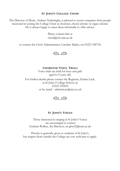#### **ST JOHN'S COLLEGE CHOIR**

The Director of Music, Andrew Nethsingha, is pleased to receive enquiries from people interested in joining the College Choir as chorister, choral scholar or organ scholar. He is always happy to meet them informally to offer advice.

> Please contact him at choir@joh.cam.ac.uk

or contact the Choir Administrator, Caroline Marks, on 01223 338718.



**CHORISTER VOICE TRIALS** Voice trials are held for boys and girls aged 6–9 years old. For further details please contact the Registrar, Emma Luck, at St John's College School on 01223 353652 or by email – admissions@sjcs.co.uk



#### **ST JOHN'S VOICES**

Those interested in singing in St John's Voices are encouraged to contact Graham Walker, the Director, on ghw22@cam.ac.uk

Priority is generally given to students of St John's, but singers from outside the College are very welcome to apply.